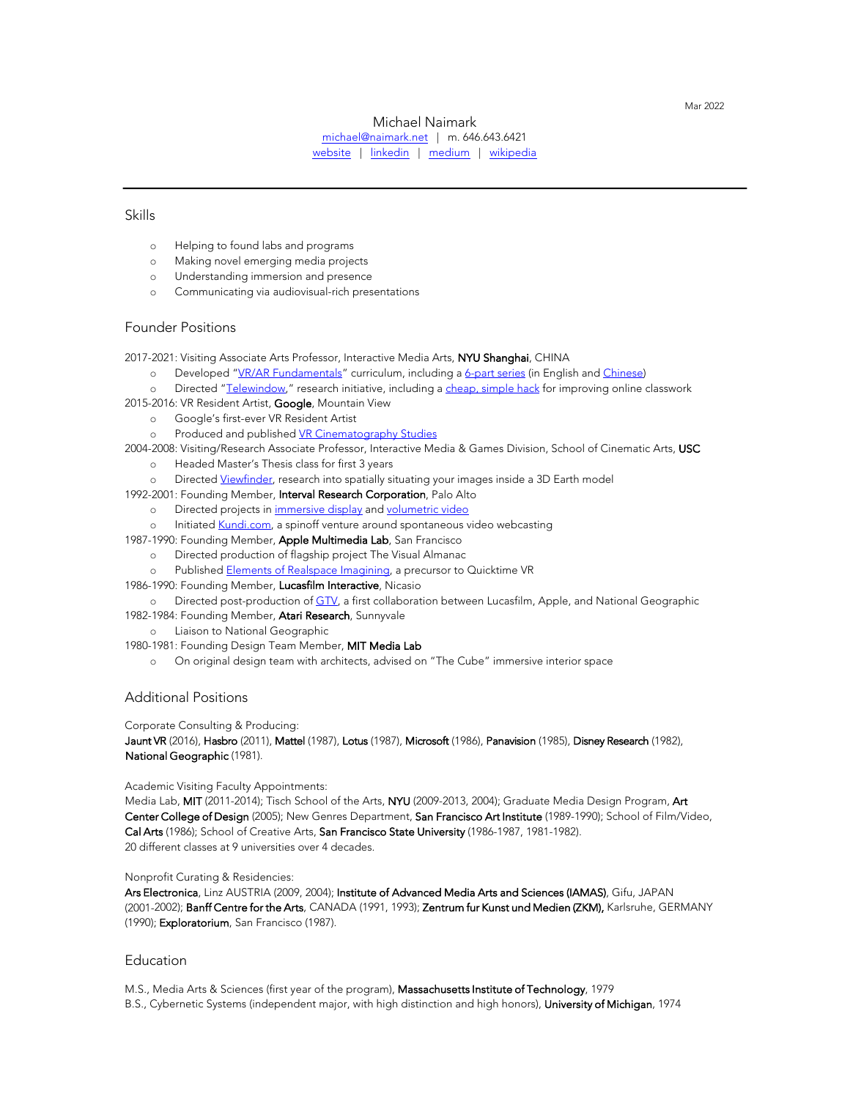Mar 2022

## Michael Naimark

[michael@naimark.net](mailto:michael@naimark.net) | m. 646.643.6421 [website](http://www.naimark.net/) | [linkedin](https://www.linkedin.com/in/michael-naimark-0441/) | [medium](https://michaelnaimark.medium.com/) | wik[ipedia](https://en.wikipedia.org/wiki/Michael_Naimark)

# Skills

- o Helping to found labs and programs
- o Making novel emerging media projects
- o Understanding immersion and presence
- o Communicating via audiovisual-rich presentations

# Founder Positions

2017-2021: Visiting Associate Arts Professor, Interactive Media Arts, NYU Shanghai, CHINA

- o Developed ["VR/AR Fundamentals"](https://wp.nyu.edu/shanghai-vr_ar_fundamentals/) curriculum, including a [6-part series](https://michaelnaimark.medium.com/vr-ar-fundamentals-prologue-b7aa3d119087) (in English and [Chinese\)](https://rits.hosting.nyu.edu/vr-ar/)
- o Directed ["Telewindow,"](https://www.davidsantiano.com/works/telewindow.html) research initiative, including a [cheap, simple hack](https://michaelnaimark.medium.com/a-cheap-simple-hack-for-improving-your-online-classtime-experiences-802071cd34c1) for improving online classwork 2015-2016: VR Resident Artist, Google, Mountain View
	- o Google's first-ever VR Resident Artist
	- o Produced and published [VR Cinematography Studies](https://michaelnaimark.medium.com/vr-cinematography-studies-for-google-8a2681317b3)
- 2004-2008: Visiting/Research Associate Professor, Interactive Media & Games Division, School of Cinematic Arts, USC
	- o Headed Master's Thesis class for first 3 years
	- o Directe[d Viewfinder,](http://interactive.usc.edu/projects/viewfinder/) research into spatially situating your images inside a 3D Earth model
- 1992-2001: Founding Member, Interval Research Corporation, Palo Alto
	- o Directed projects in [immersive display](http://naimark.net/projects/benowhere.html) and [volumetric video](http://naimark.net/projects/dim.html)
	- o Initiated [Kundi.com,](http://naimark.net/projects/kundi.html) a spinoff venture around spontaneous video webcasting
- 1987-1990: Founding Member, Apple Multimedia Lab, San Francisco
	- o Directed production of flagship project The Visual Almanac
	- o Published [Elements of Realspace Imagining,](https://naimark.net/realspaceimaging.pdf) a precursor to Quicktime VR
- 1986-1990: Founding Member, Lucasfilm Interactive, Nicasio
- o Directed post-production of [GTV,](https://www.nytimes.com/1990/04/08/education/blackboard-lucas-s-latest-crusade.html) a first collaboration between Lucasfilm, Apple, and National Geographic 1982-1984: Founding Member, Atari Research, Sunnyvale
	- o Liaison to National Geographic
- 1980-1981: Founding Design Team Member, MIT Media Lab
	- o On original design team with architects, advised on "The Cube" immersive interior space

#### Additional Positions

Corporate Consulting & Producing:

Jaunt VR (2016), Hasbro (2011), Mattel (1987), Lotus (1987), Microsoft (1986), Panavision (1985), Disney Research (1982), National Geographic (1981).

#### Academic Visiting Faculty Appointments:

Media Lab, MIT (2011-2014); Tisch School of the Arts, NYU (2009-2013, 2004); Graduate Media Design Program, Art Center College of Design (2005); New Genres Department, San Francisco Art Institute (1989-1990); School of Film/Video, Cal Arts (1986); School of Creative Arts, San Francisco State University (1986-1987, 1981-1982). 20 different classes at 9 universities over 4 decades.

#### Nonprofit Curating & Residencies:

Ars Electronica, Linz AUSTRIA (2009, 2004); Institute of Advanced Media Arts and Sciences (IAMAS), Gifu, JAPAN (2001-2002); Banff Centre for the Arts, CANADA (1991, 1993); Zentrum fur Kunst und Medien (ZKM), Karlsruhe, GERMANY (1990); Exploratorium, San Francisco (1987).

### **Education**

M.S., Media Arts & Sciences (first year of the program), Massachusetts Institute of Technology, 1979 B.S., Cybernetic Systems (independent major, with high distinction and high honors), University of Michigan, 1974